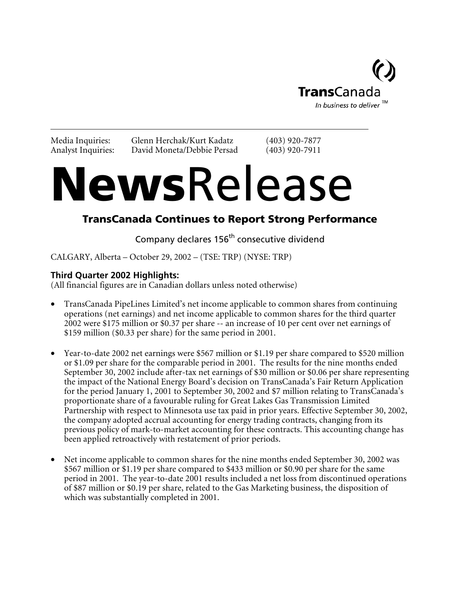

Media Inquiries: Glenn Herchak/Kurt Kadatz (403) 920-7877 Analyst Inquiries: David Moneta/Debbie Persad (403) 920-7911

# NewsRelease

# TransCanada Continues to Report Strong Performance

Company declares 156<sup>th</sup> consecutive dividend

CALGARY, Alberta – October 29, 2002 – (TSE: TRP) (NYSE: TRP)

## **Third Quarter 2002 Highlights:**

(All financial figures are in Canadian dollars unless noted otherwise)

- TransCanada PipeLines Limited's net income applicable to common shares from continuing operations (net earnings) and net income applicable to common shares for the third quarter 2002 were \$175 million or \$0.37 per share -- an increase of 10 per cent over net earnings of \$159 million (\$0.33 per share) for the same period in 2001.
- Year-to-date 2002 net earnings were \$567 million or \$1.19 per share compared to \$520 million or \$1.09 per share for the comparable period in 2001. The results for the nine months ended September 30, 2002 include after-tax net earnings of \$30 million or \$0.06 per share representing the impact of the National Energy Board's decision on TransCanada's Fair Return Application for the period January 1, 2001 to September 30, 2002 and \$7 million relating to TransCanada's proportionate share of a favourable ruling for Great Lakes Gas Transmission Limited Partnership with respect to Minnesota use tax paid in prior years. Effective September 30, 2002, the company adopted accrual accounting for energy trading contracts, changing from its previous policy of mark-to-market accounting for these contracts. This accounting change has been applied retroactively with restatement of prior periods.
- Net income applicable to common shares for the nine months ended September 30, 2002 was \$567 million or \$1.19 per share compared to \$433 million or \$0.90 per share for the same period in 2001. The year-to-date 2001 results included a net loss from discontinued operations of \$87 million or \$0.19 per share, related to the Gas Marketing business, the disposition of which was substantially completed in 2001.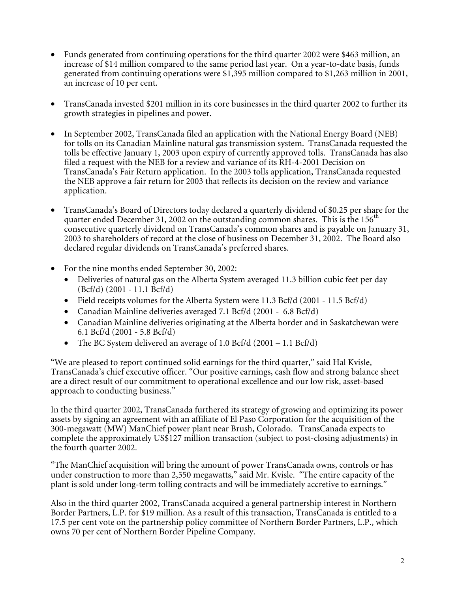- Funds generated from continuing operations for the third quarter 2002 were \$463 million, an increase of \$14 million compared to the same period last year. On a year-to-date basis, funds generated from continuing operations were \$1,395 million compared to \$1,263 million in 2001, an increase of 10 per cent.
- TransCanada invested \$201 million in its core businesses in the third quarter 2002 to further its growth strategies in pipelines and power.
- In September 2002, TransCanada filed an application with the National Energy Board (NEB) for tolls on its Canadian Mainline natural gas transmission system. TransCanada requested the tolls be effective January 1, 2003 upon expiry of currently approved tolls. TransCanada has also filed a request with the NEB for a review and variance of its RH-4-2001 Decision on TransCanada's Fair Return application. In the 2003 tolls application, TransCanada requested the NEB approve a fair return for 2003 that reflects its decision on the review and variance application.
- TransCanada's Board of Directors today declared a quarterly dividend of \$0.25 per share for the quarter ended December 31, 2002 on the outstanding common shares. This is the 156<sup>th</sup> consecutive quarterly dividend on TransCanada's common shares and is payable on January 31, 2003 to shareholders of record at the close of business on December 31, 2002. The Board also declared regular dividends on TransCanada's preferred shares.
- For the nine months ended September 30, 2002:
	- Deliveries of natural gas on the Alberta System averaged 11.3 billion cubic feet per day (Bcf/d) (2001 - 11.1 Bcf/d)
	- Field receipts volumes for the Alberta System were 11.3 Bcf/d (2001 11.5 Bcf/d)
	- Canadian Mainline deliveries averaged 7.1 Bcf/d (2001 6.8 Bcf/d)
	- Canadian Mainline deliveries originating at the Alberta border and in Saskatchewan were 6.1 Bcf/d (2001 - 5.8 Bcf/d)
	- The BC System delivered an average of 1.0 Bcf/d  $(2001 1.1 \text{ Bcf/d})$

"We are pleased to report continued solid earnings for the third quarter," said Hal Kvisle, TransCanada's chief executive officer. "Our positive earnings, cash flow and strong balance sheet are a direct result of our commitment to operational excellence and our low risk, asset-based approach to conducting business."

In the third quarter 2002, TransCanada furthered its strategy of growing and optimizing its power assets by signing an agreement with an affiliate of El Paso Corporation for the acquisition of the 300-megawatt (MW) ManChief power plant near Brush, Colorado. TransCanada expects to complete the approximately US\$127 million transaction (subject to post-closing adjustments) in the fourth quarter 2002.

"The ManChief acquisition will bring the amount of power TransCanada owns, controls or has under construction to more than 2,550 megawatts," said Mr. Kvisle. "The entire capacity of the plant is sold under long-term tolling contracts and will be immediately accretive to earnings."

Also in the third quarter 2002, TransCanada acquired a general partnership interest in Northern Border Partners, L.P. for \$19 million. As a result of this transaction, TransCanada is entitled to a 17.5 per cent vote on the partnership policy committee of Northern Border Partners, L.P., which owns 70 per cent of Northern Border Pipeline Company.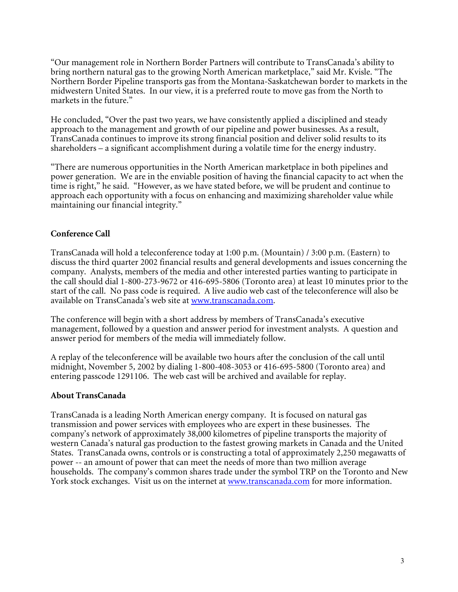"Our management role in Northern Border Partners will contribute to TransCanada's ability to bring northern natural gas to the growing North American marketplace," said Mr. Kvisle. "The Northern Border Pipeline transports gas from the Montana-Saskatchewan border to markets in the midwestern United States. In our view, it is a preferred route to move gas from the North to markets in the future."

He concluded, "Over the past two years, we have consistently applied a disciplined and steady approach to the management and growth of our pipeline and power businesses. As a result, TransCanada continues to improve its strong financial position and deliver solid results to its shareholders – a significant accomplishment during a volatile time for the energy industry.

"There are numerous opportunities in the North American marketplace in both pipelines and power generation. We are in the enviable position of having the financial capacity to act when the time is right," he said. "However, as we have stated before, we will be prudent and continue to approach each opportunity with a focus on enhancing and maximizing shareholder value while maintaining our financial integrity."

## **Conference Call**

TransCanada will hold a teleconference today at 1:00 p.m. (Mountain) / 3:00 p.m. (Eastern) to discuss the third quarter 2002 financial results and general developments and issues concerning the company. Analysts, members of the media and other interested parties wanting to participate in the call should dial 1-800-273-9672 or 416-695-5806 (Toronto area) at least 10 minutes prior to the start of the call. No pass code is required. A live audio web cast of the teleconference will also be available on TransCanada's web site at www.transcanada.com.

The conference will begin with a short address by members of TransCanada's executive management, followed by a question and answer period for investment analysts. A question and answer period for members of the media will immediately follow.

A replay of the teleconference will be available two hours after the conclusion of the call until midnight, November 5*,* 2002 by dialing 1-800-408-3053 or 416-695-5800 (Toronto area) and entering passcode 1291106. The web cast will be archived and available for replay.

#### **About TransCanada**

TransCanada is a leading North American energy company. It is focused on natural gas transmission and power services with employees who are expert in these businesses. The company's network of approximately 38,000 kilometres of pipeline transports the majority of western Canada's natural gas production to the fastest growing markets in Canada and the United States. TransCanada owns, controls or is constructing a total of approximately 2,250 megawatts of power -- an amount of power that can meet the needs of more than two million average households. The company's common shares trade under the symbol TRP on the Toronto and New York stock exchanges. Visit us on the internet at www.transcanada.com for more information.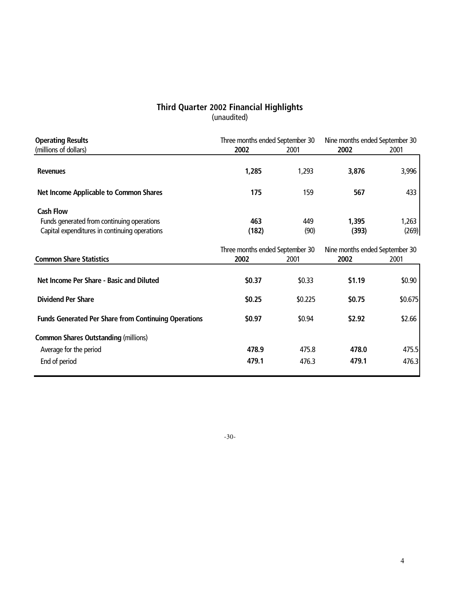#### **Third Quarter 2002 Financial Highlights** (unaudited)

| 2002<br>1,285<br>175<br>463<br>(182) | 2001<br>1,293<br>159<br>449<br>(90) | 2002<br>3,876<br>567<br>1,395<br>(393) | 2001<br>433    |
|--------------------------------------|-------------------------------------|----------------------------------------|----------------|
|                                      |                                     |                                        | 3,996<br>1,263 |
|                                      |                                     |                                        |                |
|                                      |                                     |                                        |                |
|                                      |                                     |                                        |                |
|                                      |                                     |                                        | (269)          |
|                                      |                                     |                                        |                |
|                                      | Three months ended September 30     | Nine months ended September 30         |                |
| 2002                                 | 2001                                | 2002                                   | 2001           |
| \$0.37                               | \$0.33                              | \$1.19                                 | \$0.90         |
| \$0.25                               | \$0.225                             | \$0.75                                 | \$0.675        |
| \$0.97                               | \$0.94                              | \$2.92                                 | \$2.66         |
|                                      |                                     |                                        |                |
| 478.9                                | 475.8                               | 478.0                                  | 475.5          |
|                                      |                                     | 479.1                                  | 476.3          |
|                                      |                                     | 479.1<br>476.3                         |                |

-30-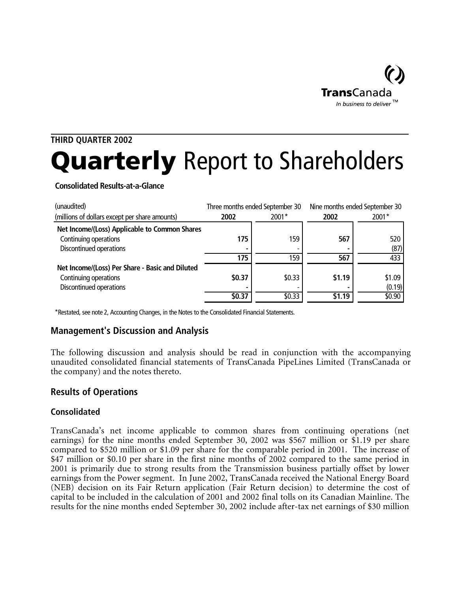

# **THIRD QUARTER 2002** Quarterly Report to Shareholders

**Consolidated Results-at-a-Glance**

| (unaudited)                                     |        | Three months ended September 30 |        | Nine months ended September 30 |
|-------------------------------------------------|--------|---------------------------------|--------|--------------------------------|
| (millions of dollars except per share amounts)  | 2002   | 2001*                           | 2002   | 2001*                          |
| Net Income/(Loss) Applicable to Common Shares   |        |                                 |        |                                |
| Continuing operations                           | 175    | 159                             | 567    | 520                            |
| Discontinued operations                         |        |                                 |        | (87)                           |
|                                                 | 175    | 159                             | 567    | 433                            |
| Net Income/(Loss) Per Share - Basic and Diluted |        |                                 |        |                                |
| Continuing operations                           | \$0.37 | \$0.33                          | \$1.19 | \$1.09                         |
| Discontinued operations                         |        |                                 |        | (0.19)                         |
|                                                 | \$0.37 | \$0.33                          | \$1.19 | \$0.90                         |

\*Restated, see note 2, Accounting Changes, in the Notes to the Consolidated Financial Statements.

# **Management's Discussion and Analysis**

The following discussion and analysis should be read in conjunction with the accompanying unaudited consolidated financial statements of TransCanada PipeLines Limited (TransCanada or the company) and the notes thereto.

# **Results of Operations**

#### **Consolidated**

TransCanada's net income applicable to common shares from continuing operations (net earnings) for the nine months ended September 30, 2002 was \$567 million or \$1.19 per share compared to \$520 million or \$1.09 per share for the comparable period in 2001. The increase of \$47 million or \$0.10 per share in the first nine months of 2002 compared to the same period in 2001 is primarily due to strong results from the Transmission business partially offset by lower earnings from the Power segment. In June 2002, TransCanada received the National Energy Board (NEB) decision on its Fair Return application (Fair Return decision) to determine the cost of capital to be included in the calculation of 2001 and 2002 final tolls on its Canadian Mainline. The results for the nine months ended September 30, 2002 include after-tax net earnings of \$30 million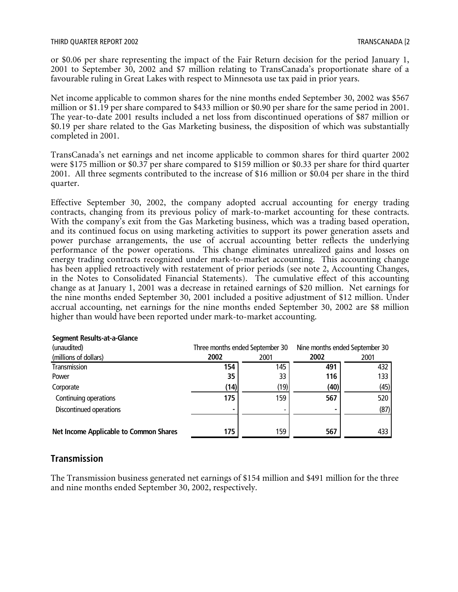or \$0.06 per share representing the impact of the Fair Return decision for the period January 1, 2001 to September 30, 2002 and \$7 million relating to TransCanada's proportionate share of a favourable ruling in Great Lakes with respect to Minnesota use tax paid in prior years.

Net income applicable to common shares for the nine months ended September 30, 2002 was \$567 million or \$1.19 per share compared to \$433 million or \$0.90 per share for the same period in 2001. The year-to-date 2001 results included a net loss from discontinued operations of \$87 million or \$0.19 per share related to the Gas Marketing business, the disposition of which was substantially completed in 2001.

TransCanada's net earnings and net income applicable to common shares for third quarter 2002 were \$175 million or \$0.37 per share compared to \$159 million or \$0.33 per share for third quarter 2001. All three segments contributed to the increase of \$16 million or \$0.04 per share in the third quarter.

Effective September 30, 2002, the company adopted accrual accounting for energy trading contracts, changing from its previous policy of mark-to-market accounting for these contracts. With the company's exit from the Gas Marketing business, which was a trading based operation, and its continued focus on using marketing activities to support its power generation assets and power purchase arrangements, the use of accrual accounting better reflects the underlying performance of the power operations. This change eliminates unrealized gains and losses on energy trading contracts recognized under mark-to-market accounting. This accounting change has been applied retroactively with restatement of prior periods (see note 2, Accounting Changes, in the Notes to Consolidated Financial Statements). The cumulative effect of this accounting change as at January 1, 2001 was a decrease in retained earnings of \$20 million. Net earnings for the nine months ended September 30, 2001 included a positive adjustment of \$12 million. Under accrual accounting, net earnings for the nine months ended September 30, 2002 are \$8 million higher than would have been reported under mark-to-market accounting.

| (unaudited)                                   |      | Three months ended September 30 |      | Nine months ended September 30 |
|-----------------------------------------------|------|---------------------------------|------|--------------------------------|
| (millions of dollars)                         | 2002 | 2001                            | 2002 | 2001                           |
| Transmission                                  | 154  | 145                             | 491  | 432                            |
| Power                                         | 35   | 33                              | 116  | 133                            |
| Corporate                                     | (14) | (19)                            | (40) | (45)                           |
| Continuing operations                         | 175  | 159                             | 567  | 520                            |
| Discontinued operations                       |      |                                 |      | (87)                           |
|                                               |      |                                 |      |                                |
| <b>Net Income Applicable to Common Shares</b> | 175  | 159                             | 567  | 433                            |

#### **Segment Results-at-a-Glance**

#### **Transmission**

The Transmission business generated net earnings of \$154 million and \$491 million for the three and nine months ended September 30, 2002, respectively.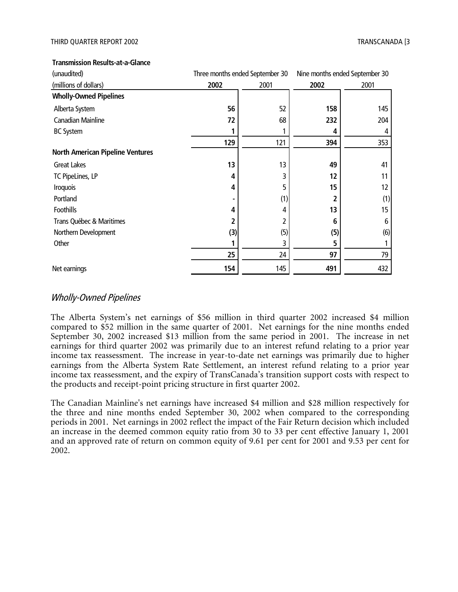| Transmission Results-at-a-Glance |  |
|----------------------------------|--|
|----------------------------------|--|

| (unaudited)                             | Three months ended September 30 |      |      | Nine months ended September 30 |
|-----------------------------------------|---------------------------------|------|------|--------------------------------|
| (millions of dollars)                   | 2002                            | 2001 | 2002 | 2001                           |
| <b>Wholly-Owned Pipelines</b>           |                                 |      |      |                                |
| Alberta System                          | 56                              | 52   | 158  | 145                            |
| Canadian Mainline                       | 72                              | 68   | 232  | 204                            |
| <b>BC System</b>                        |                                 |      | 4    | 4                              |
|                                         | 129                             | 121  | 394  | 353                            |
| <b>North American Pipeline Ventures</b> |                                 |      |      |                                |
| <b>Great Lakes</b>                      | 13                              | 13   | 49   | 41                             |
| TC PipeLines, LP                        | 4                               | 3    | 12   | 11                             |
| <b>Iroquois</b>                         | 4                               | 5    | 15   | 12                             |
| Portland                                |                                 | (1)  | 2    | (1)                            |
| <b>Foothills</b>                        | 4                               |      | 13   | 15                             |
| Trans Québec & Maritimes                | 2                               | 2    | 6    | 6                              |
| Northern Development                    | (3)                             | (5)  | (5)  | (6)                            |
| Other                                   |                                 | 3    | 5    |                                |
|                                         | 25                              | 24   | 97   | 79                             |
| Net earnings                            | 154                             | 145  | 491  | 432                            |

#### Wholly-Owned Pipelines

The Alberta System's net earnings of \$56 million in third quarter 2002 increased \$4 million compared to \$52 million in the same quarter of 2001. Net earnings for the nine months ended September 30, 2002 increased \$13 million from the same period in 2001. The increase in net earnings for third quarter 2002 was primarily due to an interest refund relating to a prior year income tax reassessment. The increase in year-to-date net earnings was primarily due to higher earnings from the Alberta System Rate Settlement, an interest refund relating to a prior year income tax reassessment, and the expiry of TransCanada's transition support costs with respect to the products and receipt-point pricing structure in first quarter 2002.

The Canadian Mainline's net earnings have increased \$4 million and \$28 million respectively for the three and nine months ended September 30, 2002 when compared to the corresponding periods in 2001. Net earnings in 2002 reflect the impact of the Fair Return decision which included an increase in the deemed common equity ratio from 30 to 33 per cent effective January 1, 2001 and an approved rate of return on common equity of 9.61 per cent for 2001 and 9.53 per cent for 2002.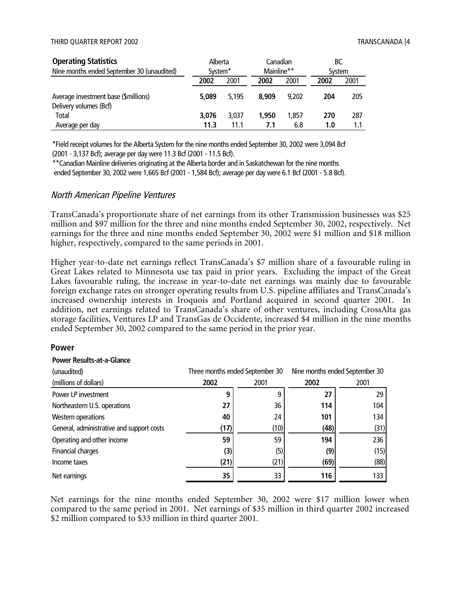| <b>Operating Statistics</b>                                    | Alberta             |       | Canadian   |       | BС     |      |
|----------------------------------------------------------------|---------------------|-------|------------|-------|--------|------|
| Nine months ended September 30 (unaudited)                     | System <sup>*</sup> |       | Mainline** |       | System |      |
|                                                                | 2002                | 2001  | 2002       | 2001  | 2002   | 2001 |
| Average investment base (\$millions)<br>Delivery volumes (Bcf) | 5.089               | 5.195 | 8.909      | 9.202 | 204    | 205  |
| <b>Total</b>                                                   | 3.076               | 3.037 | 1,950      | 1.857 | 270    | 287  |
| Average per day                                                | 11.3                | 11.1  | 7.1        | 6.8   | 1.0    |      |

\*Field receipt volumes for the Alberta System for the nine months ended September 30, 2002 were 3,094 Bcf (2001 - 3,137 Bcf); average per day were 11.3 Bcf (2001 - 11.5 Bcf).

\*\*Canadian Mainline deliveries originating at the Alberta border and in Saskatchewan for the nine months ended September 30, 2002 were 1,665 Bcf (2001 - 1,584 Bcf); average per day were 6.1 Bcf (2001 - 5.8 Bcf).

#### North American Pipeline Ventures

TransCanada's proportionate share of net earnings from its other Transmission businesses was \$25 million and \$97 million for the three and nine months ended September 30, 2002, respectively. Net earnings for the three and nine months ended September 30, 2002 were \$1 million and \$18 million higher, respectively, compared to the same periods in 2001.

Higher year-to-date net earnings reflect TransCanada's \$7 million share of a favourable ruling in Great Lakes related to Minnesota use tax paid in prior years. Excluding the impact of the Great Lakes favourable ruling, the increase in year-to-date net earnings was mainly due to favourable foreign exchange rates on stronger operating results from U.S. pipeline affiliates and TransCanada's increased ownership interests in Iroquois and Portland acquired in second quarter 2001. In addition, net earnings related to TransCanada's share of other ventures, including CrossAlta gas storage facilities, Ventures LP and TransGas de Occidente, increased \$4 million in the nine months ended September 30, 2002 compared to the same period in the prior year.

#### **Power**

#### **Power Results-at-a-Glance**

| (unaudited)                               | Three months ended September 30 |      |      | Nine months ended September 30 |
|-------------------------------------------|---------------------------------|------|------|--------------------------------|
| (millions of dollars)                     | 2002                            | 2001 | 2002 | 2001                           |
| Power LP investment                       | 9                               | q    | 27   | 29                             |
| Northeastern U.S. operations              | 27                              | 36   | 114  | 104                            |
| Western operations                        | 40                              | 24   | 101  | 134                            |
| General, administrative and support costs | (17)                            | (10) | (48) | (31)                           |
| Operating and other income                | 59                              | 59   | 194  | 236                            |
| Financial charges                         | (3)                             | (5)  | (9)  | (15)                           |
| Income taxes                              | (21)                            | (21) | (69) | (88)                           |
| Net earnings                              | 35                              | 33   | 116  | 133                            |

Net earnings for the nine months ended September 30, 2002 were \$17 million lower when compared to the same period in 2001. Net earnings of \$35 million in third quarter 2002 increased \$2 million compared to \$33 million in third quarter 2001.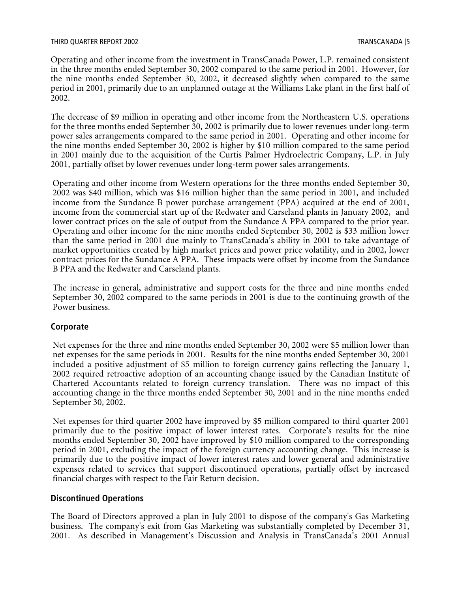Operating and other income from the investment in TransCanada Power, L.P. remained consistent in the three months ended September 30, 2002 compared to the same period in 2001. However, for the nine months ended September 30, 2002, it decreased slightly when compared to the same period in 2001, primarily due to an unplanned outage at the Williams Lake plant in the first half of 2002.

The decrease of \$9 million in operating and other income from the Northeastern U.S. operations for the three months ended September 30, 2002 is primarily due to lower revenues under long-term power sales arrangements compared to the same period in 2001. Operating and other income for the nine months ended September 30, 2002 is higher by \$10 million compared to the same period in 2001 mainly due to the acquisition of the Curtis Palmer Hydroelectric Company, L.P. in July 2001, partially offset by lower revenues under long-term power sales arrangements.

Operating and other income from Western operations for the three months ended September 30, 2002 was \$40 million, which was \$16 million higher than the same period in 2001, and included income from the Sundance B power purchase arrangement (PPA) acquired at the end of 2001, income from the commercial start up of the Redwater and Carseland plants in January 2002, and lower contract prices on the sale of output from the Sundance A PPA compared to the prior year. Operating and other income for the nine months ended September 30, 2002 is \$33 million lower than the same period in 2001 due mainly to TransCanada's ability in 2001 to take advantage of market opportunities created by high market prices and power price volatility, and in 2002, lower contract prices for the Sundance A PPA. These impacts were offset by income from the Sundance B PPA and the Redwater and Carseland plants.

The increase in general, administrative and support costs for the three and nine months ended September 30, 2002 compared to the same periods in 2001 is due to the continuing growth of the Power business.

#### **Corporate**

Net expenses for the three and nine months ended September 30, 2002 were \$5 million lower than net expenses for the same periods in 2001. Results for the nine months ended September 30, 2001 included a positive adjustment of \$5 million to foreign currency gains reflecting the January 1, 2002 required retroactive adoption of an accounting change issued by the Canadian Institute of Chartered Accountants related to foreign currency translation. There was no impact of this accounting change in the three months ended September 30, 2001 and in the nine months ended September 30, 2002.

Net expenses for third quarter 2002 have improved by \$5 million compared to third quarter 2001 primarily due to the positive impact of lower interest rates. Corporate's results for the nine months ended September 30, 2002 have improved by \$10 million compared to the corresponding period in 2001, excluding the impact of the foreign currency accounting change. This increase is primarily due to the positive impact of lower interest rates and lower general and administrative expenses related to services that support discontinued operations, partially offset by increased financial charges with respect to the Fair Return decision.

#### **Discontinued Operations**

The Board of Directors approved a plan in July 2001 to dispose of the company's Gas Marketing business. The company's exit from Gas Marketing was substantially completed by December 31, 2001. As described in Management's Discussion and Analysis in TransCanada's 2001 Annual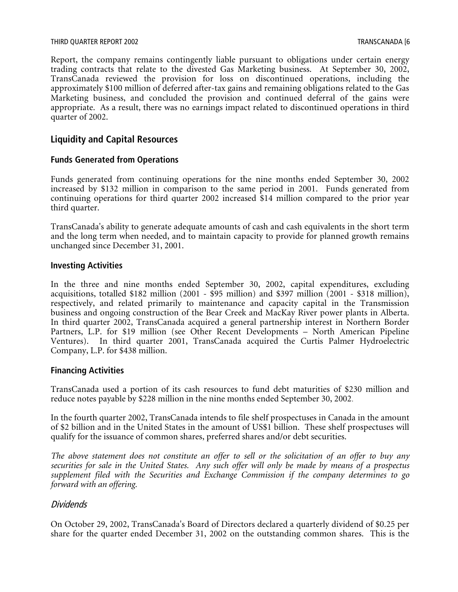#### THIRD QUARTER REPORT 2002 TRANSCANADA [6

Report, the company remains contingently liable pursuant to obligations under certain energy trading contracts that relate to the divested Gas Marketing business. At September 30, 2002, TransCanada reviewed the provision for loss on discontinued operations, including the approximately \$100 million of deferred after-tax gains and remaining obligations related to the Gas Marketing business, and concluded the provision and continued deferral of the gains were appropriate. As a result, there was no earnings impact related to discontinued operations in third quarter of 2002.

## **Liquidity and Capital Resources**

#### **Funds Generated from Operations**

Funds generated from continuing operations for the nine months ended September 30, 2002 increased by \$132 million in comparison to the same period in 2001. Funds generated from continuing operations for third quarter 2002 increased \$14 million compared to the prior year third quarter.

TransCanada's ability to generate adequate amounts of cash and cash equivalents in the short term and the long term when needed, and to maintain capacity to provide for planned growth remains unchanged since December 31, 2001.

#### **Investing Activities**

In the three and nine months ended September 30, 2002, capital expenditures, excluding acquisitions, totalled \$182 million (2001 -  $\overline{$95}$  million) and \$397 million (2001 - \$318 million), respectively, and related primarily to maintenance and capacity capital in the Transmission business and ongoing construction of the Bear Creek and MacKay River power plants in Alberta. In third quarter 2002, TransCanada acquired a general partnership interest in Northern Border Partners, L.P. for \$19 million (see Other Recent Developments – North American Pipeline Ventures). In third quarter 2001, TransCanada acquired the Curtis Palmer Hydroelectric Company, L.P. for \$438 million.

#### **Financing Activities**

TransCanada used a portion of its cash resources to fund debt maturities of \$230 million and reduce notes payable by \$228 million in the nine months ended September 30, 2002.

In the fourth quarter 2002, TransCanada intends to file shelf prospectuses in Canada in the amount of \$2 billion and in the United States in the amount of US\$1 billion. These shelf prospectuses will qualify for the issuance of common shares, preferred shares and/or debt securities.

*The above statement does not constitute an offer to sell or the solicitation of an offer to buy any securities for sale in the United States. Any such offer will only be made by means of a prospectus supplement filed with the Securities and Exchange Commission if the company determines to go forward with an offering.*

#### **Dividends**

On October 29, 2002, TransCanada's Board of Directors declared a quarterly dividend of \$0.25 per share for the quarter ended December 31, 2002 on the outstanding common shares. This is the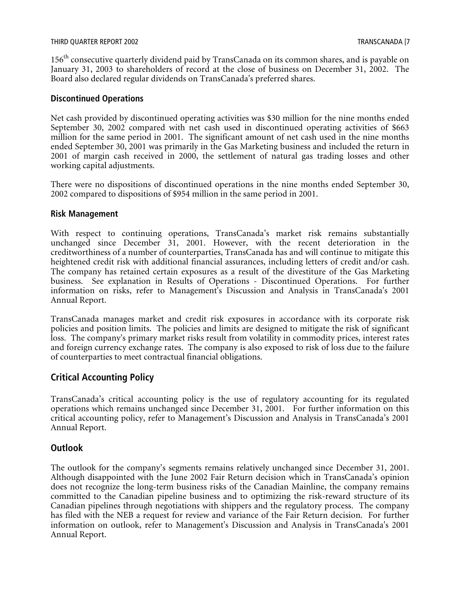156<sup>th</sup> consecutive quarterly dividend paid by TransCanada on its common shares, and is payable on January 31, 2003 to shareholders of record at the close of business on December 31, 2002. The Board also declared regular dividends on TransCanada's preferred shares.

#### **Discontinued Operations**

Net cash provided by discontinued operating activities was \$30 million for the nine months ended September 30, 2002 compared with net cash used in discontinued operating activities of \$663 million for the same period in 2001. The significant amount of net cash used in the nine months ended September 30, 2001 was primarily in the Gas Marketing business and included the return in 2001 of margin cash received in 2000, the settlement of natural gas trading losses and other working capital adjustments.

There were no dispositions of discontinued operations in the nine months ended September 30, 2002 compared to dispositions of \$954 million in the same period in 2001.

#### **Risk Management**

With respect to continuing operations, TransCanada's market risk remains substantially unchanged since December 31, 2001. However, with the recent deterioration in the creditworthiness of a number of counterparties, TransCanada has and will continue to mitigate this heightened credit risk with additional financial assurances, including letters of credit and/or cash. The company has retained certain exposures as a result of the divestiture of the Gas Marketing business. See explanation in Results of Operations - Discontinued Operations. For further information on risks, refer to Management's Discussion and Analysis in TransCanada's 2001 Annual Report.

TransCanada manages market and credit risk exposures in accordance with its corporate risk policies and position limits. The policies and limits are designed to mitigate the risk of significant loss. The company's primary market risks result from volatility in commodity prices, interest rates and foreign currency exchange rates. The company is also exposed to risk of loss due to the failure of counterparties to meet contractual financial obligations.

#### **Critical Accounting Policy**

TransCanada's critical accounting policy is the use of regulatory accounting for its regulated operations which remains unchanged since December 31, 2001. For further information on this critical accounting policy, refer to Management's Discussion and Analysis in TransCanada's 2001 Annual Report.

#### **Outlook**

The outlook for the company's segments remains relatively unchanged since December 31, 2001. Although disappointed with the June 2002 Fair Return decision which in TransCanada's opinion does not recognize the long-term business risks of the Canadian Mainline, the company remains committed to the Canadian pipeline business and to optimizing the risk-reward structure of its Canadian pipelines through negotiations with shippers and the regulatory process. The company has filed with the NEB a request for review and variance of the Fair Return decision. For further information on outlook, refer to Management's Discussion and Analysis in TransCanada's 2001 Annual Report.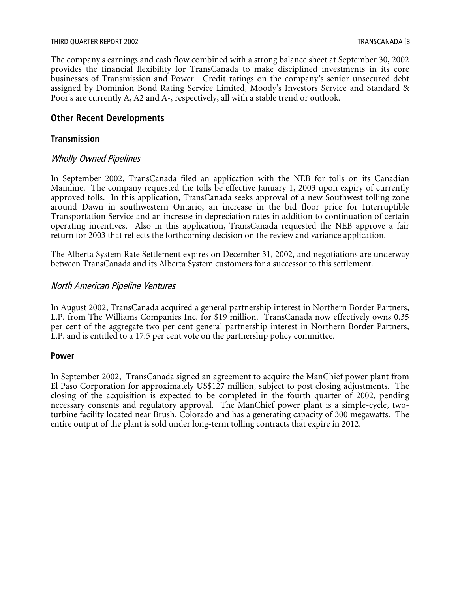#### THIRD QUARTER REPORT 2002 TRANSCANADA [8

The company's earnings and cash flow combined with a strong balance sheet at September 30, 2002 provides the financial flexibility for TransCanada to make disciplined investments in its core businesses of Transmission and Power. Credit ratings on the company's senior unsecured debt assigned by Dominion Bond Rating Service Limited, Moody's Investors Service and Standard & Poor's are currently A, A2 and A-, respectively, all with a stable trend or outlook.

#### **Other Recent Developments**

#### **Transmission**

#### Wholly-Owned Pipelines

In September 2002, TransCanada filed an application with the NEB for tolls on its Canadian Mainline. The company requested the tolls be effective January 1, 2003 upon expiry of currently approved tolls. In this application, TransCanada seeks approval of a new Southwest tolling zone around Dawn in southwestern Ontario, an increase in the bid floor price for Interruptible Transportation Service and an increase in depreciation rates in addition to continuation of certain operating incentives. Also in this application, TransCanada requested the NEB approve a fair return for 2003 that reflects the forthcoming decision on the review and variance application.

The Alberta System Rate Settlement expires on December 31, 2002, and negotiations are underway between TransCanada and its Alberta System customers for a successor to this settlement.

#### North American Pipeline Ventures

In August 2002, TransCanada acquired a general partnership interest in Northern Border Partners, L.P. from The Williams Companies Inc. for \$19 million. TransCanada now effectively owns 0.35 per cent of the aggregate two per cent general partnership interest in Northern Border Partners, L.P. and is entitled to a 17.5 per cent vote on the partnership policy committee.

#### **Power**

In September 2002, TransCanada signed an agreement to acquire the ManChief power plant from El Paso Corporation for approximately US\$127 million, subject to post closing adjustments. The closing of the acquisition is expected to be completed in the fourth quarter of 2002, pending necessary consents and regulatory approval. The ManChief power plant is a simple-cycle, twoturbine facility located near Brush, Colorado and has a generating capacity of 300 megawatts. The entire output of the plant is sold under long-term tolling contracts that expire in 2012.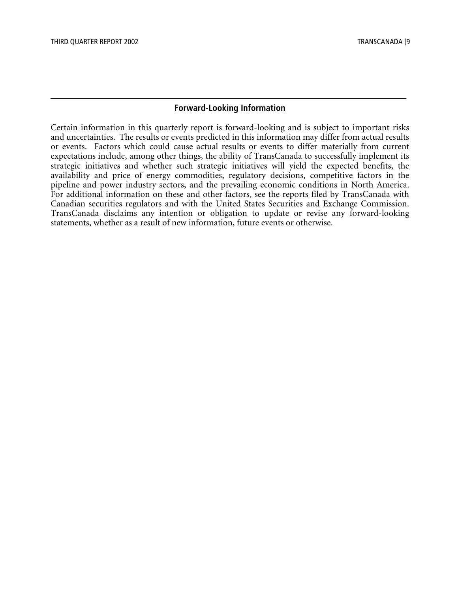#### **Forward-Looking Information**

Certain information in this quarterly report is forward-looking and is subject to important risks and uncertainties. The results or events predicted in this information may differ from actual results or events. Factors which could cause actual results or events to differ materially from current expectations include, among other things, the ability of TransCanada to successfully implement its strategic initiatives and whether such strategic initiatives will yield the expected benefits, the availability and price of energy commodities, regulatory decisions, competitive factors in the pipeline and power industry sectors, and the prevailing economic conditions in North America. For additional information on these and other factors, see the reports filed by TransCanada with Canadian securities regulators and with the United States Securities and Exchange Commission. TransCanada disclaims any intention or obligation to update or revise any forward-looking statements, whether as a result of new information, future events or otherwise.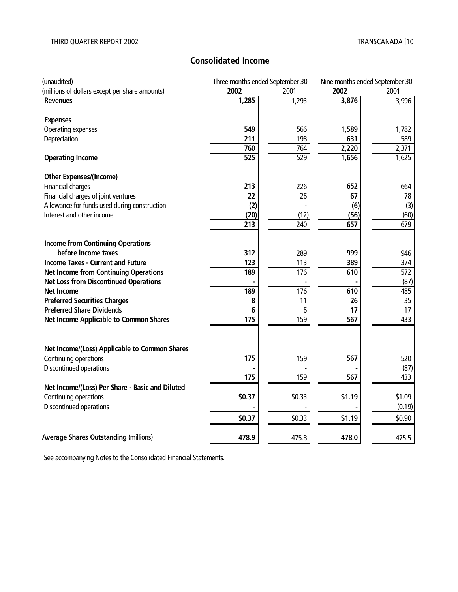# **Consolidated Income**

| (unaudited)                                     | Three months ended September 30 |                  | Nine months ended September 30 |                  |
|-------------------------------------------------|---------------------------------|------------------|--------------------------------|------------------|
| (millions of dollars except per share amounts)  | 2002                            | 2001             | 2002                           | 2001             |
| <b>Revenues</b>                                 | 1,285                           | 1,293            | 3,876                          | 3,996            |
| <b>Expenses</b>                                 |                                 |                  |                                |                  |
| Operating expenses                              | 549                             | 566              | 1,589                          | 1,782            |
| Depreciation                                    | 211                             | 198              | 631                            | 589              |
|                                                 | 760                             | 764              | 2,220                          | 2,371            |
| <b>Operating Income</b>                         | $\overline{525}$                | 529              | 1,656                          | 1,625            |
| <b>Other Expenses/(Income)</b>                  |                                 |                  |                                |                  |
| Financial charges                               | 213                             | 226              | 652                            | 664              |
| Financial charges of joint ventures             | 22                              | 26               | 67                             | 78               |
| Allowance for funds used during construction    | (2)                             |                  | (6)                            | (3)              |
| Interest and other income                       | (20)                            | (12)             | (56)                           | (60)             |
|                                                 | $\overline{213}$                | 240              | 657                            | 679              |
|                                                 |                                 |                  |                                |                  |
| <b>Income from Continuing Operations</b>        |                                 |                  |                                |                  |
| before income taxes                             | 312                             | 289              | 999                            | 946              |
| <b>Income Taxes - Current and Future</b>        | 123                             | 113              | 389                            | 374              |
| <b>Net Income from Continuing Operations</b>    | 189                             | 176              | 610                            | $\overline{572}$ |
| <b>Net Loss from Discontinued Operations</b>    |                                 |                  |                                | (87)             |
| <b>Net Income</b>                               | 189                             | $\overline{176}$ | 610                            | 485              |
| <b>Preferred Securities Charges</b>             | 8                               | 11               | 26                             | 35               |
| <b>Preferred Share Dividends</b>                | 6                               | 6                | 17                             | 17               |
| Net Income Applicable to Common Shares          | 175                             | 159              | 567                            | 433              |
|                                                 |                                 |                  |                                |                  |
| Net Income/(Loss) Applicable to Common Shares   |                                 |                  |                                |                  |
| Continuing operations                           | 175                             | 159              | 567                            | 520              |
| Discontinued operations                         |                                 |                  |                                | (87)             |
|                                                 | 175                             | 159              | $\overline{567}$               | 433              |
| Net Income/(Loss) Per Share - Basic and Diluted |                                 |                  |                                |                  |
| Continuing operations                           | \$0.37                          | \$0.33           | \$1.19                         | \$1.09           |
| Discontinued operations                         |                                 |                  |                                | (0.19)           |
|                                                 | \$0.37                          | \$0.33           | \$1.19                         | \$0.90           |
| <b>Average Shares Outstanding (millions)</b>    | 478.9                           | 475.8            | 478.0                          | 475.5            |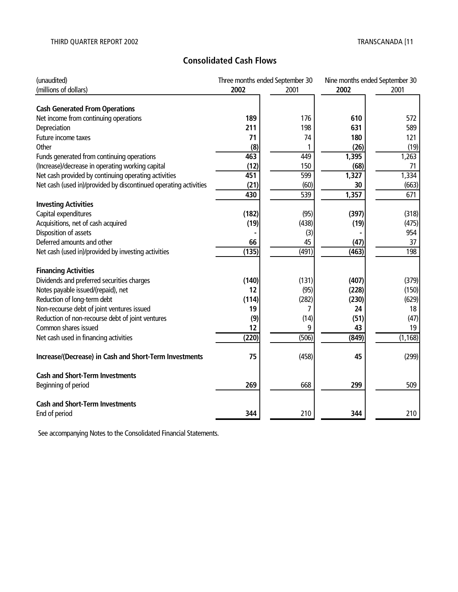# **Consolidated Cash Flows**

| (unaudited)                                                      |       | Three months ended September 30 |       | Nine months ended September 30 |
|------------------------------------------------------------------|-------|---------------------------------|-------|--------------------------------|
| (millions of dollars)                                            | 2002  | 2001                            | 2002  | 2001                           |
|                                                                  |       |                                 |       |                                |
| <b>Cash Generated From Operations</b>                            |       |                                 |       |                                |
| Net income from continuing operations                            | 189   | 176                             | 610   | 572                            |
| Depreciation                                                     | 211   | 198                             | 631   | 589                            |
| Future income taxes                                              | 71    | 74                              | 180   | 121                            |
| Other                                                            | (8)   |                                 | (26)  | (19)                           |
| Funds generated from continuing operations                       | 463   | 449                             | 1,395 | 1,263                          |
| (Increase)/decrease in operating working capital                 | (12)  | 150                             | (68)  | 71                             |
| Net cash provided by continuing operating activities             | 451   | 599                             | 1,327 | 1,334                          |
| Net cash (used in)/provided by discontinued operating activities | (21)  | (60)                            | 30    | (663)                          |
|                                                                  | 430   | 539                             | 1,357 | 671                            |
| <b>Investing Activities</b>                                      |       |                                 |       |                                |
| Capital expenditures                                             | (182) | (95)                            | (397) | (318)                          |
| Acquisitions, net of cash acquired                               | (19)  | (438)                           | (19)  | (475)                          |
| Disposition of assets                                            |       | (3)                             |       | 954                            |
| Deferred amounts and other                                       | 66    | 45                              | (47)  | 37                             |
| Net cash (used in)/provided by investing activities              | (135) | (491)                           | (463) | 198                            |
|                                                                  |       |                                 |       |                                |
| <b>Financing Activities</b>                                      |       |                                 |       |                                |
| Dividends and preferred securities charges                       | (140) | (131)                           | (407) | (379)                          |
| Notes payable issued/(repaid), net                               | 12    | (95)                            | (228) | (150)                          |
| Reduction of long-term debt                                      | (114) | (282)                           | (230) | (629)                          |
| Non-recourse debt of joint ventures issued                       | 19    | 7                               | 24    | 18                             |
| Reduction of non-recourse debt of joint ventures                 | (9)   | (14)                            | (51)  | (47)                           |
| Common shares issued                                             | 12    | 9                               | 43    | 19                             |
| Net cash used in financing activities                            | (220) | (506)                           | (849) | (1, 168)                       |
|                                                                  |       |                                 |       |                                |
| Increase/(Decrease) in Cash and Short-Term Investments           | 75    | (458)                           | 45    | (299)                          |
| <b>Cash and Short-Term Investments</b>                           |       |                                 |       |                                |
| Beginning of period                                              | 269   | 668                             | 299   | 509                            |
|                                                                  |       |                                 |       |                                |
| <b>Cash and Short-Term Investments</b>                           |       |                                 |       |                                |
| End of period                                                    | 344   | 210                             | 344   | 210                            |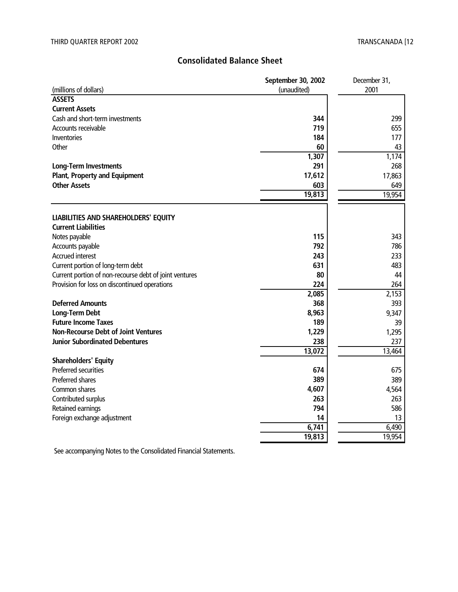# **Consolidated Balance Sheet**

|                                                        | September 30, 2002 | December 31, |
|--------------------------------------------------------|--------------------|--------------|
| (millions of dollars)                                  | (unaudited)        | 2001         |
| <b>ASSETS</b>                                          |                    |              |
| <b>Current Assets</b>                                  |                    |              |
| Cash and short-term investments                        | 344                | 299          |
| Accounts receivable                                    | 719                | 655          |
| Inventories                                            | 184                | 177          |
| Other                                                  | 60                 | 43           |
|                                                        | 1,307              | 1,174        |
| <b>Long-Term Investments</b>                           | 291                | 268          |
| <b>Plant, Property and Equipment</b>                   | 17,612             | 17,863       |
| <b>Other Assets</b>                                    | 603                | 649          |
|                                                        | 19,813             | 19,954       |
|                                                        |                    |              |
| LIABILITIES AND SHAREHOLDERS' EQUITY                   |                    |              |
| <b>Current Liabilities</b>                             |                    |              |
| Notes payable                                          | 115                | 343          |
| Accounts payable                                       | 792                | 786          |
| <b>Accrued interest</b>                                | 243                | 233          |
| Current portion of long-term debt                      | 631                | 483          |
| Current portion of non-recourse debt of joint ventures | 80                 | 44           |
| Provision for loss on discontinued operations          | 224                | 264          |
|                                                        | 2,085              | 2,153        |
| <b>Deferred Amounts</b>                                | 368                | 393          |
| <b>Long-Term Debt</b>                                  | 8,963              | 9,347        |
| <b>Future Income Taxes</b>                             | 189                | 39           |
| <b>Non-Recourse Debt of Joint Ventures</b>             | 1,229              | 1,295        |
| <b>Junior Subordinated Debentures</b>                  | 238                | 237          |
|                                                        | 13,072             | 13,464       |
| <b>Shareholders' Equity</b>                            |                    |              |
| Preferred securities                                   | 674                | 675          |
| Preferred shares                                       | 389                | 389          |
| Common shares                                          | 4,607              | 4,564        |
| Contributed surplus                                    | 263                | 263          |
| Retained earnings                                      | 794                | 586          |
| Foreign exchange adjustment                            | 14                 | 13           |
|                                                        | 6,741              | 6,490        |
|                                                        | 19,813             | 19,954       |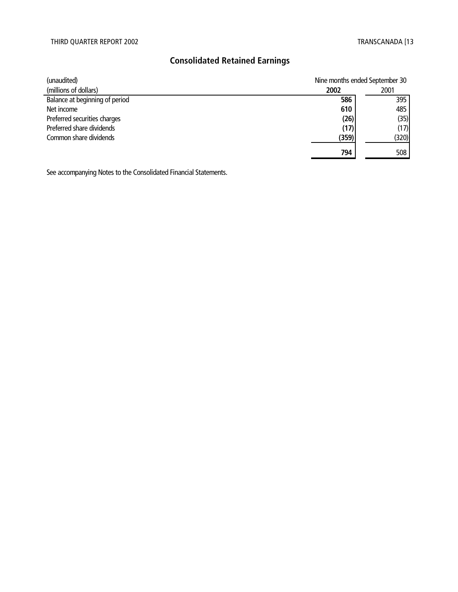# **Consolidated Retained Earnings**

| (unaudited)                    |       | Nine months ended September 30 |  |  |
|--------------------------------|-------|--------------------------------|--|--|
| (millions of dollars)          | 2002  | 2001                           |  |  |
| Balance at beginning of period | 586   | 395                            |  |  |
| Net income                     | 610   | 485                            |  |  |
| Preferred securities charges   | (26)  | (35)                           |  |  |
| Preferred share dividends      | (17)  | (17)                           |  |  |
| Common share dividends         | (359) | (320)                          |  |  |
|                                | 794   | 508                            |  |  |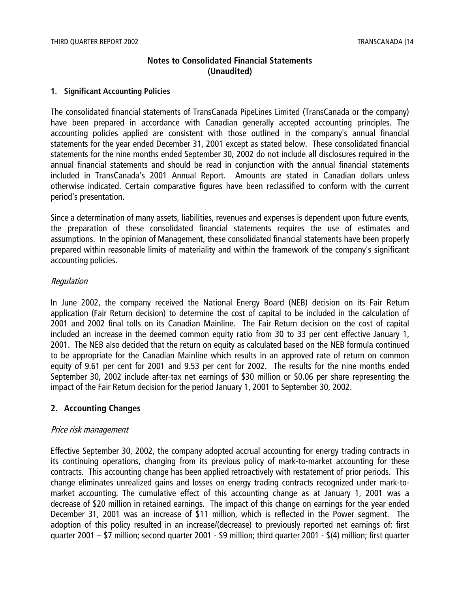# **Notes to Consolidated Financial Statements (Unaudited)**

#### **1. Significant Accounting Policies**

The consolidated financial statements of TransCanada PipeLines Limited (TransCanada or the company) have been prepared in accordance with Canadian generally accepted accounting principles. The accounting policies applied are consistent with those outlined in the company's annual financial statements for the year ended December 31, 2001 except as stated below. These consolidated financial statements for the nine months ended September 30, 2002 do not include all disclosures required in the annual financial statements and should be read in conjunction with the annual financial statements included in TransCanada's 2001 Annual Report. Amounts are stated in Canadian dollars unless otherwise indicated. Certain comparative figures have been reclassified to conform with the current period's presentation.

Since a determination of many assets, liabilities, revenues and expenses is dependent upon future events, the preparation of these consolidated financial statements requires the use of estimates and assumptions. In the opinion of Management, these consolidated financial statements have been properly prepared within reasonable limits of materiality and within the framework of the company's significant accounting policies.

#### Regulation

In June 2002, the company received the National Energy Board (NEB) decision on its Fair Return application (Fair Return decision) to determine the cost of capital to be included in the calculation of 2001 and 2002 final tolls on its Canadian Mainline. The Fair Return decision on the cost of capital included an increase in the deemed common equity ratio from 30 to 33 per cent effective January 1, 2001. The NEB also decided that the return on equity as calculated based on the NEB formula continued to be appropriate for the Canadian Mainline which results in an approved rate of return on common equity of 9.61 per cent for 2001 and 9.53 per cent for 2002. The results for the nine months ended September 30, 2002 include after-tax net earnings of \$30 million or \$0.06 per share representing the impact of the Fair Return decision for the period January 1, 2001 to September 30, 2002.

# **2. Accounting Changes**

#### Price risk management

Effective September 30, 2002, the company adopted accrual accounting for energy trading contracts in its continuing operations, changing from its previous policy of mark-to-market accounting for these contracts. This accounting change has been applied retroactively with restatement of prior periods. This change eliminates unrealized gains and losses on energy trading contracts recognized under mark-tomarket accounting. The cumulative effect of this accounting change as at January 1, 2001 was a decrease of \$20 million in retained earnings. The impact of this change on earnings for the year ended December 31, 2001 was an increase of \$11 million, which is reflected in the Power segment. The adoption of this policy resulted in an increase/(decrease) to previously reported net earnings of: first quarter 2001 – \$7 million; second quarter 2001 - \$9 million; third quarter 2001 - \$(4) million; first quarter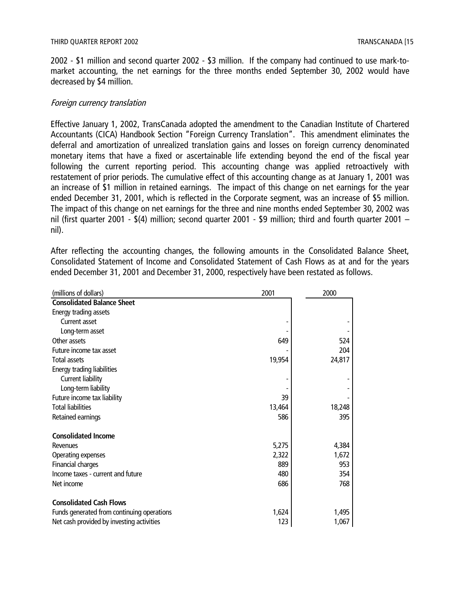2002 - \$1 million and second quarter 2002 - \$3 million. If the company had continued to use mark-tomarket accounting, the net earnings for the three months ended September 30, 2002 would have decreased by \$4 million.

#### Foreign currency translation

Effective January 1, 2002, TransCanada adopted the amendment to the Canadian Institute of Chartered Accountants (CICA) Handbook Section "Foreign Currency Translation". This amendment eliminates the deferral and amortization of unrealized translation gains and losses on foreign currency denominated monetary items that have a fixed or ascertainable life extending beyond the end of the fiscal year following the current reporting period. This accounting change was applied retroactively with restatement of prior periods. The cumulative effect of this accounting change as at January 1, 2001 was an increase of \$1 million in retained earnings. The impact of this change on net earnings for the year ended December 31, 2001, which is reflected in the Corporate segment, was an increase of \$5 million. The impact of this change on net earnings for the three and nine months ended September 30, 2002 was nil (first quarter 2001 - \$(4) million; second quarter 2001 - \$9 million; third and fourth quarter 2001 – nil).

After reflecting the accounting changes, the following amounts in the Consolidated Balance Sheet, Consolidated Statement of Income and Consolidated Statement of Cash Flows as at and for the years ended December 31, 2001 and December 31, 2000, respectively have been restated as follows.

| (millions of dollars)                      | 2001   | 2000   |
|--------------------------------------------|--------|--------|
| <b>Consolidated Balance Sheet</b>          |        |        |
| Energy trading assets                      |        |        |
| Current asset                              |        |        |
| Long-term asset                            |        |        |
| Other assets                               | 649    | 524    |
| Future income tax asset                    |        | 204    |
| <b>Total assets</b>                        | 19,954 | 24,817 |
| Energy trading liabilities                 |        |        |
| Current liability                          |        |        |
| Long-term liability                        |        |        |
| Future income tax liability                | 39     |        |
| <b>Total liabilities</b>                   | 13,464 | 18,248 |
| Retained earnings                          | 586    | 395    |
| <b>Consolidated Income</b>                 |        |        |
| Revenues                                   | 5,275  | 4,384  |
| Operating expenses                         | 2,322  | 1,672  |
| <b>Financial charges</b>                   | 889    | 953    |
| Income taxes - current and future          | 480    | 354    |
| Net income                                 | 686    | 768    |
| <b>Consolidated Cash Flows</b>             |        |        |
| Funds generated from continuing operations | 1,624  | 1,495  |
| Net cash provided by investing activities  | 123    | 1,067  |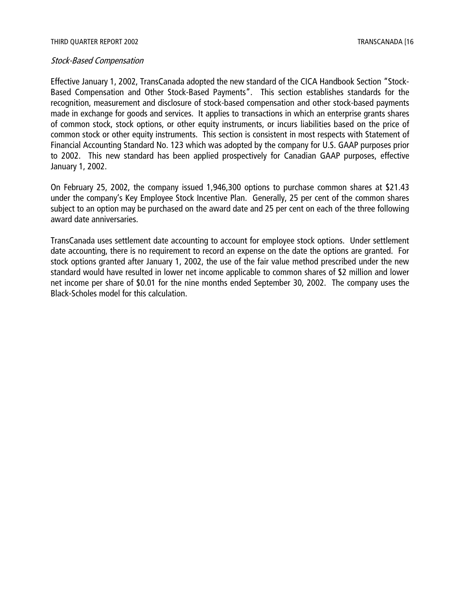#### Stock-Based Compensation

Effective January 1, 2002, TransCanada adopted the new standard of the CICA Handbook Section "Stock-Based Compensation and Other Stock-Based Payments". This section establishes standards for the recognition, measurement and disclosure of stock-based compensation and other stock-based payments made in exchange for goods and services. It applies to transactions in which an enterprise grants shares of common stock, stock options, or other equity instruments, or incurs liabilities based on the price of common stock or other equity instruments. This section is consistent in most respects with Statement of Financial Accounting Standard No. 123 which was adopted by the company for U.S. GAAP purposes prior to 2002. This new standard has been applied prospectively for Canadian GAAP purposes, effective January 1, 2002.

On February 25, 2002, the company issued 1,946,300 options to purchase common shares at \$21.43 under the company's Key Employee Stock Incentive Plan. Generally, 25 per cent of the common shares subject to an option may be purchased on the award date and 25 per cent on each of the three following award date anniversaries.

TransCanada uses settlement date accounting to account for employee stock options. Under settlement date accounting, there is no requirement to record an expense on the date the options are granted. For stock options granted after January 1, 2002, the use of the fair value method prescribed under the new standard would have resulted in lower net income applicable to common shares of \$2 million and lower net income per share of \$0.01 for the nine months ended September 30, 2002. The company uses the Black-Scholes model for this calculation.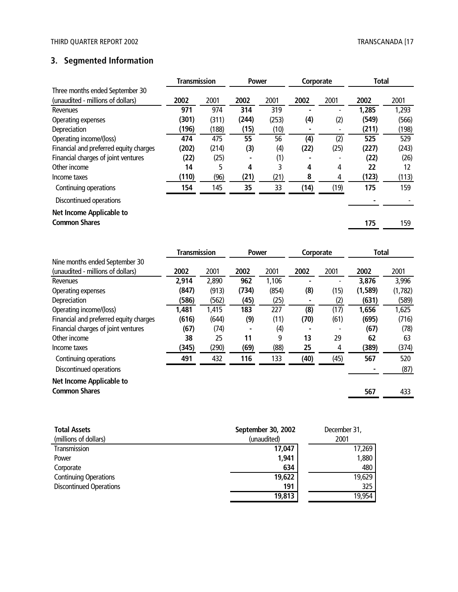# **3. Segmented Information**

|                                        | <b>Transmission</b> |       | <b>Power</b> |       | Corporate |      | <b>Total</b> |       |
|----------------------------------------|---------------------|-------|--------------|-------|-----------|------|--------------|-------|
| Three months ended September 30        |                     |       |              |       |           |      |              |       |
| (unaudited - millions of dollars)      | 2002                | 2001  | 2002         | 2001  | 2002      | 2001 | 2002         | 2001  |
| Revenues                               | 971                 | 974   | 314          | 319   |           |      | 1,285        | 1,293 |
| Operating expenses                     | (301)               | (311) | (244)        | (253) | (4)       | (2)  | (549)        | (566) |
| Depreciation                           | (196)               | (188) | (15)         | (10)  |           |      | (211)        | (198) |
| Operating income/(loss)                | 474                 | 475   | 55           | 56    | (4)       | (2)  | 525          | 529   |
| Financial and preferred equity charges | (202)               | (214) | (3)          | (4)   | (22)      | (25) | (227)        | (243) |
| Financial charges of joint ventures    | (22)                | (25)  |              | (1)   |           |      | (22)         | (26)  |
| Other income                           | 14                  | 5     | 4            | 3     | 4         | 4    | 22           | 12    |
| Income taxes                           | (110)               | (96)  | (21)         | (21)  | 8         | 4    | (123)        | (113) |
| Continuing operations                  | 154                 | 145   | 35           | 33    | (14)      | (19) | 175          | 159   |
| Discontinued operations                |                     |       |              |       |           |      |              |       |
| Net Income Applicable to               |                     |       |              |       |           |      |              |       |
| <b>Common Shares</b>                   |                     |       |              |       |           |      | 175          | 159   |

|                                        |       | <b>Transmission</b><br><b>Power</b> |       | Corporate |                          | <b>Total</b> |          |         |
|----------------------------------------|-------|-------------------------------------|-------|-----------|--------------------------|--------------|----------|---------|
| Nine months ended September 30         |       |                                     |       |           |                          |              |          |         |
| (unaudited - millions of dollars)      | 2002  | 2001                                | 2002  | 2001      | 2002                     | 2001         | 2002     | 2001    |
| Revenues                               | 2,914 | 2,890                               | 962   | 1,106     | $\overline{\phantom{0}}$ |              | 3,876    | 3,996   |
| Operating expenses                     | (847) | (913)                               | (734) | (854)     | (8)                      | (15)         | (1, 589) | (1,782) |
| Depreciation                           | (586) | (562)                               | (45)  | (25)      |                          | (2)          | (631)    | (589)   |
| Operating income/(loss)                | 1,481 | 1,415                               | 183   | 227       | (8)                      | (17)         | 1,656    | 1,625   |
| Financial and preferred equity charges | (616) | (644)                               | (9)   | (11)      | (70)                     | (61)         | (695)    | (716)   |
| Financial charges of joint ventures    | (67)  | (74)                                |       | (4)       |                          |              | (67)     | (78)    |
| Other income                           | 38    | 25                                  | 11    | 9         | 13                       | 29           | 62       | 63      |
| Income taxes                           | (345) | (290)                               | (69)  | (88)      | 25                       | 4            | (389)    | (374)   |
| Continuing operations                  | 491   | 432                                 | 116   | 133       | (40)                     | (45)         | 567      | 520     |
| Discontinued operations                |       |                                     |       |           |                          |              |          | (87)    |
| <b>Net Income Applicable to</b>        |       |                                     |       |           |                          |              |          |         |
| <b>Common Shares</b>                   |       |                                     |       |           |                          |              | 567      | 433     |

| September 30, 2002 | December 31, |
|--------------------|--------------|
| (unaudited)        | 2001         |
| 17,047             | 17,269       |
| 1,941              | 1,880        |
| 634                | 480          |
| 19,622             | 19,629       |
| 191                | 325          |
| 19,813             | 19,954       |
|                    |              |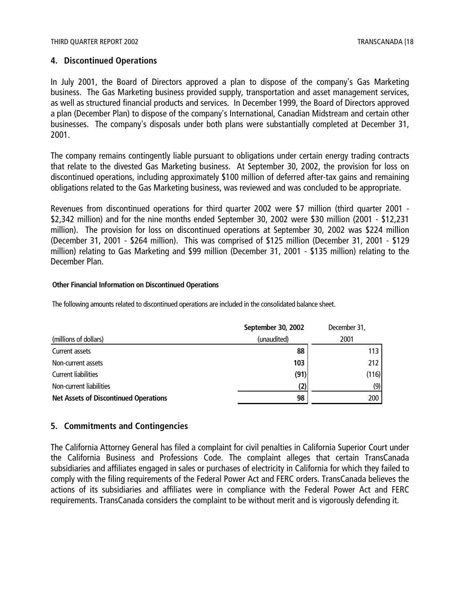#### **4. Discontinued Operations**

In July 2001, the Board of Directors approved a plan to dispose of the company's Gas Marketing business. The Gas Marketing business provided supply, transportation and asset management services, as well as structured financial products and services. In December 1999, the Board of Directors approved a plan (December Plan) to dispose of the company's International, Canadian Midstream and certain other businesses. The company's disposals under both plans were substantially completed at December 31, 2001.

The company remains contingently liable pursuant to obligations under certain energy trading contracts that relate to the divested Gas Marketing business. At September 30, 2002, the provision for loss on discontinued operations, including approximately \$100 million of deferred after-tax gains and remaining obligations related to the Gas Marketing business, was reviewed and was concluded to be appropriate.

Revenues from discontinued operations for third quarter 2002 were \$7 million (third quarter 2001 - \$2,342 million) and for the nine months ended September 30, 2002 were \$30 million (2001 - \$12,231 million). The provision for loss on discontinued operations at September 30, 2002 was \$224 million (December 31, 2001 - \$264 million). This was comprised of \$125 million (December 31, 2001 - \$129 million) relating to Gas Marketing and \$99 million (December 31, 2001 - \$135 million) relating to the December Plan.

#### **Other Financial Information on Discontinued Operations**

The following amounts related to discontinued operations are included in the consolidated balance sheet.

|                                              | September 30, 2002 | December 31,     |
|----------------------------------------------|--------------------|------------------|
| (millions of dollars)                        | (unaudited)        | 2001             |
| Current assets                               | 88                 | 113 <sub>1</sub> |
| Non-current assets                           | 103                | 212              |
| <b>Current liabilities</b>                   | (91)               | (116)            |
| Non-current liabilities                      | (2)                | (9)              |
| <b>Net Assets of Discontinued Operations</b> | 98                 | 200              |

#### **5. Commitments and Contingencies**

The California Attorney General has filed a complaint for civil penalties in California Superior Court under the California Business and Professions Code. The complaint alleges that certain TransCanada subsidiaries and affiliates engaged in sales or purchases of electricity in California for which they failed to comply with the filing requirements of the Federal Power Act and FERC orders. TransCanada believes the actions of its subsidiaries and affiliates were in compliance with the Federal Power Act and FERC requirements. TransCanada considers the complaint to be without merit and is vigorously defending it.